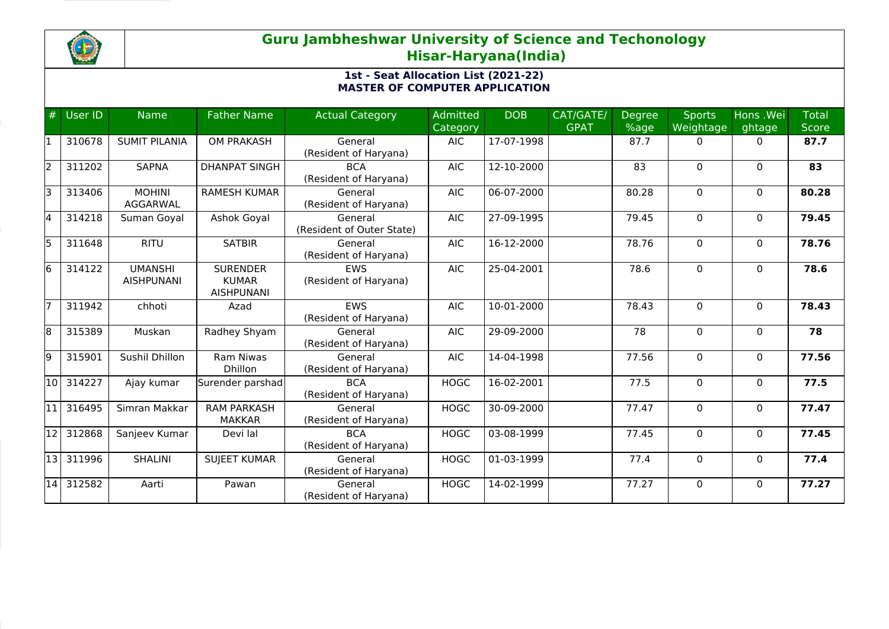

| $\bigoplus$ | User ID | <b>Name</b>                         | <b>Father Name</b>                                   | <b>Actual Category</b>               | Admitted<br>Category | <b>DOB</b> | CAT/GATE/<br><b>GPAT</b> | <b>Degree</b><br>%age | <b>Sports</b><br>Weightage | Hons .Wei<br>ghtage | <b>Total</b><br><b>Score</b> |
|-------------|---------|-------------------------------------|------------------------------------------------------|--------------------------------------|----------------------|------------|--------------------------|-----------------------|----------------------------|---------------------|------------------------------|
| l1          | 310678  | <b>SUMIT PILANIA</b>                | OM PRAKASH                                           | General<br>(Resident of Haryana)     | <b>AIC</b>           | 17-07-1998 |                          | 87.7                  | 0                          | $\mathbf{0}$        | 87.7                         |
| 2           | 311202  | <b>SAPNA</b>                        | <b>DHANPAT SINGH</b>                                 | <b>BCA</b><br>(Resident of Haryana)  | <b>AIC</b>           | 12-10-2000 |                          | 83                    | 0                          | $\mathbf{0}$        | 83                           |
| lз          | 313406  | <b>MOHINI</b><br>AGGARWAL           | <b>RAMESH KUMAR</b>                                  | General<br>(Resident of Haryana)     | <b>AIC</b>           | 06-07-2000 |                          | 80.28                 | 0                          | $\mathbf{0}$        | 80.28                        |
| 4           | 314218  | Suman Goyal                         | Ashok Goyal                                          | General<br>(Resident of Outer State) | <b>AIC</b>           | 27-09-1995 |                          | 79.45                 | $\mathbf 0$                | $\mathbf{0}$        | 79.45                        |
| 5           | 311648  | <b>RITU</b>                         | <b>SATBIR</b>                                        | General<br>(Resident of Haryana)     | <b>AIC</b>           | 16-12-2000 |                          | 78.76                 | 0                          | $\mathbf{0}$        | 78.76                        |
| 6           | 314122  | <b>UMANSHI</b><br><b>AISHPUNANI</b> | <b>SURENDER</b><br><b>KUMAR</b><br><b>AISHPUNANI</b> | <b>EWS</b><br>(Resident of Haryana)  | <b>AIC</b>           | 25-04-2001 |                          | 78.6                  | $\mathbf 0$                | $\Omega$            | 78.6                         |
| 17          | 311942  | chhoti                              | Azad                                                 | <b>EWS</b><br>(Resident of Haryana)  | <b>AIC</b>           | 10-01-2000 |                          | 78.43                 | $\Omega$                   | $\mathbf{0}$        | 78.43                        |
| 8           | 315389  | Muskan                              | Radhey Shyam                                         | General<br>(Resident of Haryana)     | <b>AIC</b>           | 29-09-2000 |                          | 78                    | 0                          | $\mathbf{0}$        | 78                           |
| 9           | 315901  | Sushil Dhillon                      | Ram Niwas<br><b>Dhillon</b>                          | General<br>(Resident of Haryana)     | <b>AIC</b>           | 14-04-1998 |                          | 77.56                 | $\mathbf 0$                | $\Omega$            | 77.56                        |
| l10 l       | 314227  | Ajay kumar                          | Surender parshad                                     | <b>BCA</b><br>(Resident of Haryana)  | <b>HOGC</b>          | 16-02-2001 |                          | 77.5                  | $\mathbf 0$                | $\mathbf{0}$        | 77.5                         |
| l11 l       | 316495  | Simran Makkar                       | <b>RAM PARKASH</b><br><b>MAKKAR</b>                  | General<br>(Resident of Haryana)     | <b>HOGC</b>          | 30-09-2000 |                          | 77.47                 | $\Omega$                   | $\Omega$            | 77.47                        |
| 12          | 312868  | Sanjeev Kumar                       | Devi lal                                             | <b>BCA</b><br>(Resident of Haryana)  | <b>HOGC</b>          | 03-08-1999 |                          | 77.45                 | $\mathbf 0$                | $\mathbf{0}$        | 77.45                        |
| 13          | 311996  | <b>SHALINI</b>                      | <b>SUJEET KUMAR</b>                                  | General<br>(Resident of Haryana)     | <b>HOGC</b>          | 01-03-1999 |                          | 77.4                  | 0                          | $\mathbf{0}$        | 77.4                         |
| 14          | 312582  | Aarti                               | Pawan                                                | General<br>(Resident of Haryana)     | <b>HOGC</b>          | 14-02-1999 |                          | 77.27                 | $\mathbf 0$                | $\mathbf{0}$        | 77.27                        |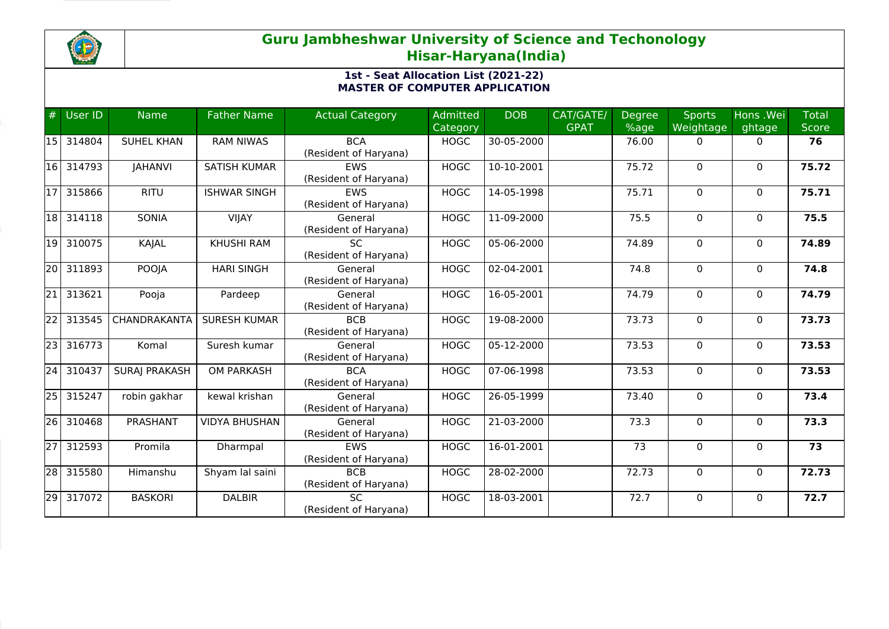

| #               | <b>User ID</b> | <b>Name</b>          | <b>Father Name</b>   | <b>Actual Category</b> | Admitted    | <b>DOB</b> | CAT/GATE/   | <b>Degree</b> | <b>Sports</b> | Hons .Wei    | Total |
|-----------------|----------------|----------------------|----------------------|------------------------|-------------|------------|-------------|---------------|---------------|--------------|-------|
|                 |                |                      |                      |                        | Category    |            | <b>GPAT</b> | %age          | Weightage     | ghtage       | Score |
| <b>15</b>       | 314804         | <b>SUHEL KHAN</b>    | <b>RAM NIWAS</b>     | <b>BCA</b>             | <b>HOGC</b> | 30-05-2000 |             | 76.00         | 0             | 0            | 76    |
|                 |                |                      |                      | (Resident of Haryana)  |             |            |             |               |               |              |       |
| 16 I            | 314793         | <b>JAHANVI</b>       | <b>SATISH KUMAR</b>  | <b>EWS</b>             | <b>HOGC</b> | 10-10-2001 |             | 75.72         | $\mathbf 0$   | $\Omega$     | 75.72 |
|                 |                |                      |                      | (Resident of Haryana)  |             |            |             |               |               |              |       |
| 117             | 315866         | <b>RITU</b>          | <b>ISHWAR SINGH</b>  | <b>EWS</b>             | <b>HOGC</b> | 14-05-1998 |             | 75.71         | $\mathbf{0}$  | $\Omega$     | 75.71 |
|                 |                |                      |                      | (Resident of Haryana)  |             |            |             |               |               |              |       |
| 18              | 314118         | <b>SONIA</b>         | <b>VIJAY</b>         | General                | <b>HOGC</b> | 11-09-2000 |             | 75.5          | $\mathbf 0$   | $\mathbf{0}$ | 75.5  |
|                 |                |                      |                      | (Resident of Haryana)  |             |            |             |               |               |              |       |
| 19 I            | 310075         | KAJAL                | <b>KHUSHI RAM</b>    | <b>SC</b>              | <b>HOGC</b> | 05-06-2000 |             | 74.89         | $\mathbf 0$   | $\Omega$     | 74.89 |
|                 |                |                      |                      | (Resident of Haryana)  |             |            |             |               |               |              |       |
| 20              | 311893         | <b>POOJA</b>         | <b>HARI SINGH</b>    | General                | <b>HOGC</b> | 02-04-2001 |             | 74.8          | 0             | 0            | 74.8  |
|                 |                |                      |                      | (Resident of Haryana)  |             |            |             |               |               |              |       |
| 21              | 313621         | Pooja                | Pardeep              | General                | <b>HOGC</b> | 16-05-2001 |             | 74.79         | $\mathbf 0$   | $\mathbf{0}$ | 74.79 |
|                 |                |                      |                      | (Resident of Haryana)  |             |            |             |               |               |              |       |
| 22              | 313545         | CHANDRAKANTA         | <b>SURESH KUMAR</b>  | <b>BCB</b>             | <b>HOGC</b> | 19-08-2000 |             | 73.73         | $\mathbf{0}$  | $\Omega$     | 73.73 |
|                 |                |                      |                      | (Resident of Haryana)  |             |            |             |               |               |              |       |
| $\overline{23}$ | 316773         | Komal                | Suresh kumar         | General                | <b>HOGC</b> | 05-12-2000 |             | 73.53         | 0             | $\mathbf{0}$ | 73.53 |
|                 |                |                      |                      | (Resident of Haryana)  |             |            |             |               |               |              |       |
| $\overline{24}$ | 310437         | <b>SURAJ PRAKASH</b> | <b>OM PARKASH</b>    | <b>BCA</b>             | <b>HOGC</b> | 07-06-1998 |             | 73.53         | 0             | $\mathbf{0}$ | 73.53 |
|                 |                |                      |                      | (Resident of Haryana)  |             |            |             |               |               |              |       |
| 25              | 315247         | robin gakhar         | kewal krishan        | General                | <b>HOGC</b> | 26-05-1999 |             | 73.40         | $\Omega$      | $\Omega$     | 73.4  |
|                 |                |                      |                      | (Resident of Haryana)  |             |            |             |               |               |              |       |
| 26              | 310468         | PRASHANT             | <b>VIDYA BHUSHAN</b> | General                | <b>HOGC</b> | 21-03-2000 |             | 73.3          | $\mathbf 0$   | $\mathbf{0}$ | 73.3  |
|                 |                |                      |                      | (Resident of Haryana)  |             |            |             |               |               |              |       |
| $\overline{27}$ | 312593         | Promila              | Dharmpal             | EWS                    | <b>HOGC</b> | 16-01-2001 |             | 73            | 0             | $\mathbf{0}$ | 73    |
|                 |                |                      |                      | (Resident of Haryana)  |             |            |             |               |               |              |       |
| $\overline{28}$ | 315580         | Himanshu             | Shyam lal saini      | <b>BCB</b>             | <b>HOGC</b> | 28-02-2000 |             | 72.73         | $\mathbf 0$   | $\Omega$     | 72.73 |
|                 |                |                      |                      | (Resident of Haryana)  |             |            |             |               |               |              |       |
| $\overline{29}$ | 317072         | <b>BASKORI</b>       | <b>DALBIR</b>        | <b>SC</b>              | <b>HOGC</b> | 18-03-2001 |             | 72.7          | 0             | $\Omega$     | 72.7  |
|                 |                |                      |                      | (Resident of Haryana)  |             |            |             |               |               |              |       |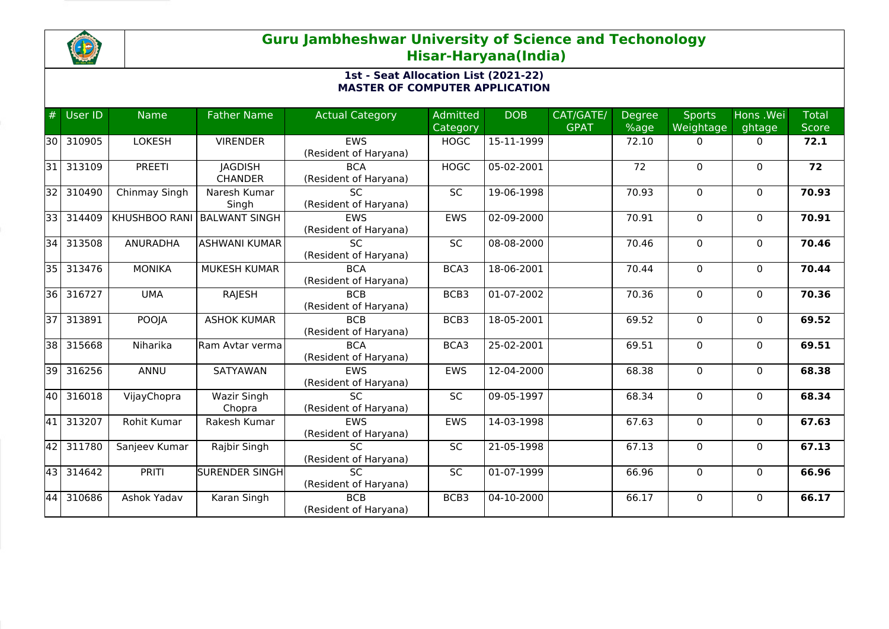

| #     | <b>User ID</b> | <b>Name</b>          | <b>Father Name</b>    | <b>Actual Category</b> | Admitted    | <b>DOB</b> | CAT/GATE/   | <b>Degree</b> | <b>Sports</b> | Hons .Wei    | Total        |
|-------|----------------|----------------------|-----------------------|------------------------|-------------|------------|-------------|---------------|---------------|--------------|--------------|
|       |                |                      |                       |                        | Category    |            | <b>GPAT</b> | %age          | Weightage     | ghtage       | <b>Score</b> |
| 130 l | 310905         | <b>LOKESH</b>        | <b>VIRENDER</b>       | <b>EWS</b>             | <b>HOGC</b> | 15-11-1999 |             | 72.10         | 0             | 0            | 72.1         |
|       |                |                      |                       | (Resident of Haryana)  |             |            |             |               |               |              |              |
| 31    | 313109         | <b>PREETI</b>        | <b>JAGDISH</b>        | <b>BCA</b>             | <b>HOGC</b> | 05-02-2001 |             | 72            | $\mathbf 0$   | $\Omega$     | 72           |
|       |                |                      | <b>CHANDER</b>        | (Resident of Haryana)  |             |            |             |               |               |              |              |
| 32    | 310490         | Chinmay Singh        | Naresh Kumar          | <b>SC</b>              | <b>SC</b>   | 19-06-1998 |             | 70.93         | $\mathbf{0}$  | $\Omega$     | 70.93        |
|       |                |                      | Singh                 | (Resident of Haryana)  |             |            |             |               |               |              |              |
| 331   | 314409         | <b>KHUSHBOO RANI</b> | <b>BALWANT SINGH</b>  | <b>FWS</b>             | <b>EWS</b>  | 02-09-2000 |             | 70.91         | $\mathbf 0$   | $\mathbf{0}$ | 70.91        |
|       |                |                      |                       | (Resident of Haryana)  |             |            |             |               |               |              |              |
| 34 I  | 313508         | <b>ANURADHA</b>      | <b>ASHWANI KUMAR</b>  | <b>SC</b>              | SC          | 08-08-2000 |             | 70.46         | $\mathbf 0$   | $\Omega$     | 70.46        |
|       |                |                      |                       | (Resident of Haryana)  |             |            |             |               |               |              |              |
| $351$ | 313476         | <b>MONIKA</b>        | <b>MUKESH KUMAR</b>   | <b>BCA</b>             | BCA3        | 18-06-2001 |             | 70.44         | 0             | $\mathbf{0}$ | 70.44        |
|       |                |                      |                       | (Resident of Haryana)  |             |            |             |               |               |              |              |
| 36    | 316727         | <b>UMA</b>           | <b>RAJESH</b>         | <b>BCB</b>             | BCB3        | 01-07-2002 |             | 70.36         | $\mathbf 0$   | $\mathbf{0}$ | 70.36        |
|       |                |                      |                       | (Resident of Haryana)  |             |            |             |               |               |              |              |
| 37    | 313891         | <b>POOJA</b>         | <b>ASHOK KUMAR</b>    | <b>BCB</b>             | BCB3        | 18-05-2001 |             | 69.52         | $\mathbf 0$   | $\Omega$     | 69.52        |
|       |                |                      |                       | (Resident of Haryana)  |             |            |             |               |               |              |              |
| 38    | 315668         | Niharika             | Ram Avtar verma       | <b>BCA</b>             | BCA3        | 25-02-2001 |             | 69.51         | 0             | $\mathbf{0}$ | 69.51        |
|       |                |                      |                       | (Resident of Haryana)  |             |            |             |               |               |              |              |
| 39    | 316256         | ANNU                 | SATYAWAN              | EWS                    | <b>EWS</b>  | 12-04-2000 |             | 68.38         | 0             | $\mathbf{0}$ | 68.38        |
|       |                |                      |                       | (Resident of Haryana)  |             |            |             |               |               |              |              |
| 40    | 316018         | VijayChopra          | Wazir Singh           | $\overline{SC}$        | SC          | 09-05-1997 |             | 68.34         | $\Omega$      | $\Omega$     | 68.34        |
|       |                |                      | Chopra                | (Resident of Haryana)  |             |            |             |               |               |              |              |
| 41    | 313207         | Rohit Kumar          | Rakesh Kumar          | <b>EWS</b>             | <b>EWS</b>  | 14-03-1998 |             | 67.63         | $\mathbf 0$   | $\mathbf{0}$ | 67.63        |
|       |                |                      |                       | (Resident of Haryana)  |             |            |             |               |               |              |              |
| 42    | 311780         | Sanjeev Kumar        | Rajbir Singh          | $\overline{SC}$        | SC          | 21-05-1998 |             | 67.13         | 0             | $\mathbf{0}$ | 67.13        |
|       |                |                      |                       | (Resident of Haryana)  |             |            |             |               |               |              |              |
| 43    | 314642         | <b>PRITI</b>         | <b>SURENDER SINGH</b> | <b>SC</b>              | <b>SC</b>   | 01-07-1999 |             | 66.96         | $\mathbf 0$   | $\Omega$     | 66.96        |
|       |                |                      |                       | (Resident of Haryana)  |             |            |             |               |               |              |              |
| 44    | 310686         | Ashok Yadav          | Karan Singh           | <b>BCB</b>             | BCB3        | 04-10-2000 |             | 66.17         | 0             | $\Omega$     | 66.17        |
|       |                |                      |                       | (Resident of Haryana)  |             |            |             |               |               |              |              |